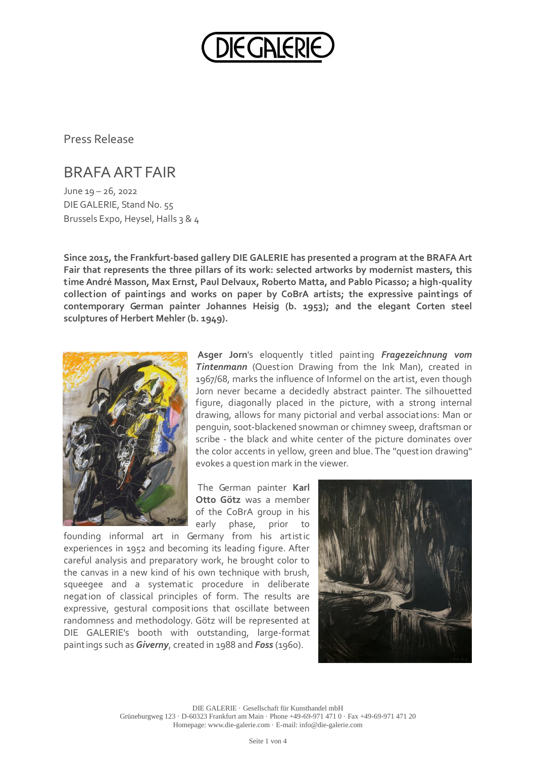

Press Release

## BRAFA ART FAIR

June 19 – 26, 2022 DIE GALERIE, Stand No. 55 Brussels Expo, Heysel, Halls 3 & 4

**Since 2015, the Frankfurt-based gallery DIE GALERIE has presented a program at the BRAFA Art Fair that represents the three pillars of its work: selected artworks by modernist masters, this time André Masson, Max Ernst, Paul Delvaux, Roberto Matta, and Pablo Picasso; a high-quality collection of paintings and works on paper by CoBrA artists; the expressive paintings of contemporary German painter Johannes Heisig (b. 1953); and the elegant Corten steel sculptures of Herbert Mehler (b. 1949).**



**Asger Jorn**'s eloquently titled painting *Fragezeichnung vom Tintenmann* (Question Drawing from the Ink Man), created in 1967/68, marks the influence of Informel on the artist, even though Jorn never became a decidedly abstract painter. The silhouetted figure, diagonally placed in the picture, with a strong internal drawing, allows for many pictorial and verbal associations: Man or penguin, soot-blackened snowman or chimney sweep, draftsman or scribe - the black and white center of the picture dominates over the color accents in yellow, green and blue. The "question drawing" evokes a question mark in the viewer.

The German painter **Karl Otto Götz** was a member of the CoBrA group in his early phase, prior to

founding informal art in Germany from his artistic experiences in 1952 and becoming its leading figure. After careful analysis and preparatory work, he brought color to the canvas in a new kind of his own technique with brush, squeegee and a systematic procedure in deliberate negation of classical principles of form. The results are expressive, gestural compositions that oscillate between randomness and methodology. Götz will be represented at DIE GALERIE's booth with outstanding, large-format paintings such as *Giverny*, created in 1988 and *Foss* (1960).



DIE GALERIE · Gesellschaft für Kunsthandel mbH Grüneburgweg 123 · D-60323 Frankfurt am Main · Phone +49-69-971 471 0 · Fax +49-69-971 471 20 Homepage: www.die-galerie.com · E-mail: info@die-galerie.com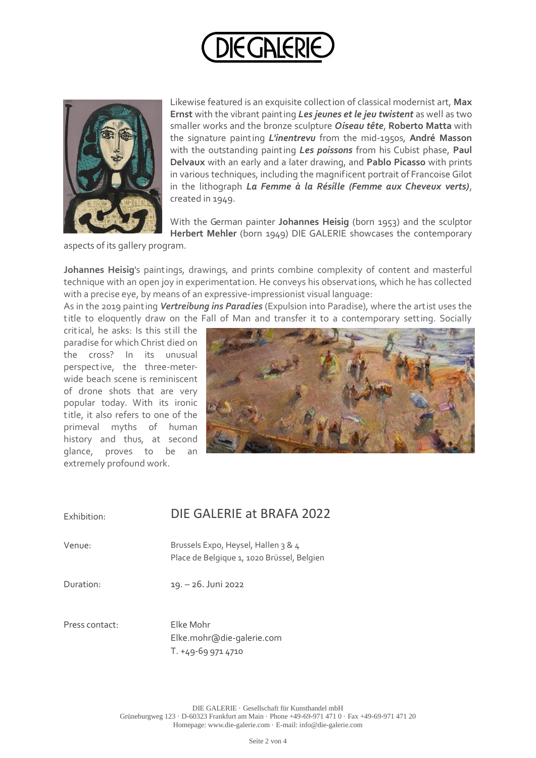



Likewise featured is an exquisite collection of classical modernist art, **Max Ernst** with the vibrant painting *Les jeunes et le jeu twistent* as well as two smaller works and the bronze sculpture *Oiseau tête*, **Roberto Matta** with the signature painting *L'inentrevu* from the mid-1950s, **André Masson** with the outstanding painting *Les poissons* from his Cubist phase, **Paul Delvaux** with an early and a later drawing, and **Pablo Picasso** with prints in various techniques, including the magnificent portrait of Francoise Gilot in the lithograph *La Femme à la Résille (Femme aux Cheveux verts)*, created in 1949.

With the German painter **Johannes Heisig** (born 1953) and the sculptor **Herbert Mehler** (born 1949) DIE GALERIE showcases the contemporary

aspects of its gallery program.

**Johannes Heisig**'s paintings, drawings, and prints combine complexity of content and masterful technique with an open joy in experimentation. He conveys his observations, which he has collected with a precise eye, by means of an expressive-impressionist visual language:

As in the 2019 painting *Vertreibung ins Paradies* (Expulsion into Paradise), where the artist uses the title to eloquently draw on the Fall of Man and transfer it to a contemporary setting. Socially

critical, he asks: Is this st ill the paradise for which Christ died on the cross? In its unusual perspective, the three-meterwide beach scene is reminiscent of drone shots that are very popular today. With its ironic title, it also refers to one of the primeval myths of human history and thus, at second glance, proves to be an extremely profound work.



## Exhibition: DIE GALERIE at BRAFA 2022

Venue: Brussels Expo, Heysel, Hallen 3 & 4 Place de Belgique 1, 1020 Brüssel, Belgien

Duration: 19. – 26.Juni 2022

Press contact: Elke Mohr

Elke.mohr@die-galerie.com T. +49-69 971 4710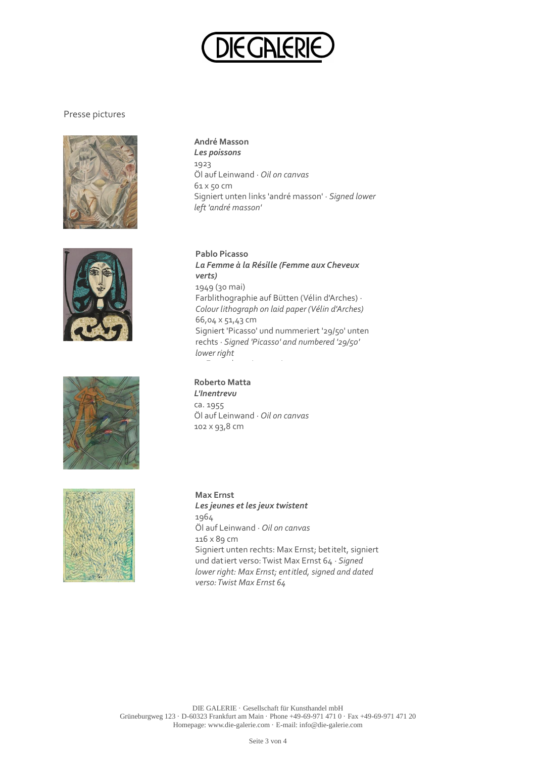

## Presse pictures









**André Masson** *Les poissons* 1923 Öl auf Leinwand · *Oil on canvas* 61 x 50 cm Signiert unten links 'andré masson' · *Signed lower left 'andré masson'*

**Pablo Picasso** *La Femme à la Résille (Femme aux Cheveux verts)* 1949 (30 mai) Farblithographie auf Bütten (Vélin d'Arches) · *Colour lithograph on laid paper (Vélin d'Arches)* 66,04 x 51,43 cm Signiert 'Picasso' und nummeriert '29/50' unten rechts · *Signed 'Picasso' and numbered '29/50' lower right* 50 Exemplare · Impressions

**Roberto Matta** *L'Inentrevu* ca. 1955 Öl auf Leinwand · *Oil on canvas* 102 x 93,8 cm

**Max Ernst** *Les jeunes et les jeux twistent* 1964 Öl auf Leinwand · *Oil on canvas* 116 x 89 cm Signiert unten rechts: Max Ernst; betitelt, signiert und datiert verso: Twist Max Ernst 64 · *Signed lower right: Max Ernst; entitled, signed and dated verso: Twist Max Ernst 64*

DIE GALERIE · Gesellschaft für Kunsthandel mbH Grüneburgweg 123 · D-60323 Frankfurt am Main · Phone +49-69-971 471 0 · Fax +49-69-971 471 20 Homepage: www.die-galerie.com · E-mail: info@die-galerie.com